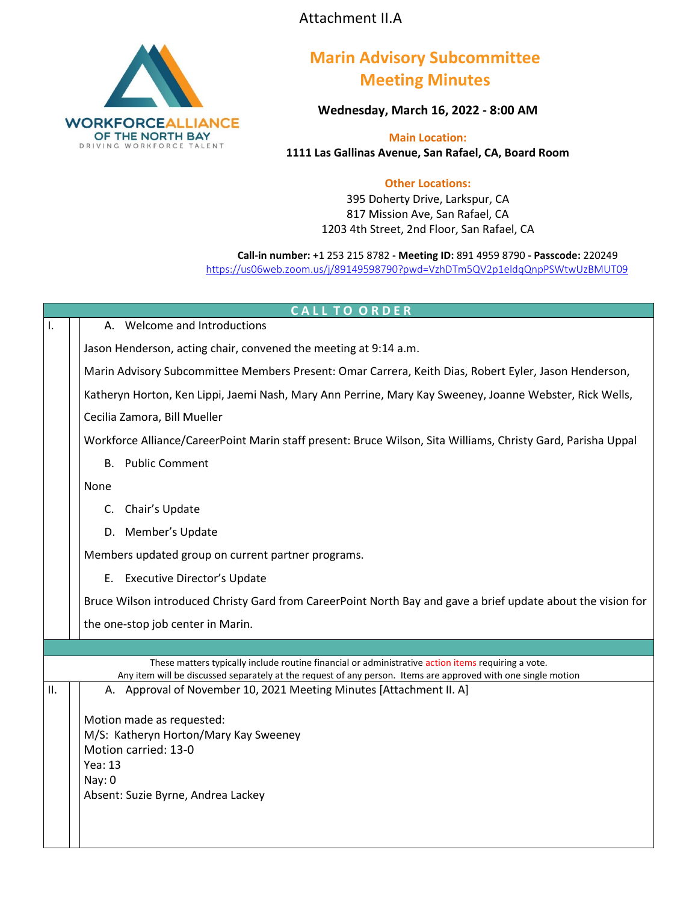Attachment II.A



## **Marin Advisory Subcommittee Meeting Minutes**

**Wednesday, March 16, 2022 - 8:00 AM**

**Main Location: 1111 Las Gallinas Avenue, San Rafael, CA, Board Room**

## **Other Locations:**

395 Doherty Drive, Larkspur, CA 817 Mission Ave, San Rafael, CA 1203 4th Street, 2nd Floor, San Rafael, CA

**Call-in number:** +1 253 215 8782 **- Meeting ID:** 891 4959 8790 **- Passcode:** 220249 <https://us06web.zoom.us/j/89149598790?pwd=VzhDTm5QV2p1eldqQnpPSWtwUzBMUT09>

| <b>CALL TO ORDER</b> |                                                                                                                                                                                                                     |  |  |
|----------------------|---------------------------------------------------------------------------------------------------------------------------------------------------------------------------------------------------------------------|--|--|
| ı.                   | A. Welcome and Introductions                                                                                                                                                                                        |  |  |
|                      | Jason Henderson, acting chair, convened the meeting at 9:14 a.m.                                                                                                                                                    |  |  |
|                      | Marin Advisory Subcommittee Members Present: Omar Carrera, Keith Dias, Robert Eyler, Jason Henderson,                                                                                                               |  |  |
|                      | Katheryn Horton, Ken Lippi, Jaemi Nash, Mary Ann Perrine, Mary Kay Sweeney, Joanne Webster, Rick Wells,                                                                                                             |  |  |
|                      | Cecilia Zamora, Bill Mueller                                                                                                                                                                                        |  |  |
|                      | Workforce Alliance/CareerPoint Marin staff present: Bruce Wilson, Sita Williams, Christy Gard, Parisha Uppal                                                                                                        |  |  |
|                      | <b>B.</b> Public Comment                                                                                                                                                                                            |  |  |
|                      | None                                                                                                                                                                                                                |  |  |
|                      | C. Chair's Update                                                                                                                                                                                                   |  |  |
|                      | D. Member's Update                                                                                                                                                                                                  |  |  |
|                      | Members updated group on current partner programs.                                                                                                                                                                  |  |  |
|                      | E. Executive Director's Update                                                                                                                                                                                      |  |  |
|                      | Bruce Wilson introduced Christy Gard from CareerPoint North Bay and gave a brief update about the vision for                                                                                                        |  |  |
|                      | the one-stop job center in Marin.                                                                                                                                                                                   |  |  |
|                      |                                                                                                                                                                                                                     |  |  |
|                      | These matters typically include routine financial or administrative action items requiring a vote.<br>Any item will be discussed separately at the request of any person. Items are approved with one single motion |  |  |
| П.                   | A. Approval of November 10, 2021 Meeting Minutes [Attachment II. A]                                                                                                                                                 |  |  |
|                      | Motion made as requested:                                                                                                                                                                                           |  |  |
|                      | M/S: Katheryn Horton/Mary Kay Sweeney                                                                                                                                                                               |  |  |
|                      | Motion carried: 13-0                                                                                                                                                                                                |  |  |
|                      | Yea: 13                                                                                                                                                                                                             |  |  |
|                      | Nay: 0                                                                                                                                                                                                              |  |  |
|                      | Absent: Suzie Byrne, Andrea Lackey                                                                                                                                                                                  |  |  |
|                      |                                                                                                                                                                                                                     |  |  |
|                      |                                                                                                                                                                                                                     |  |  |